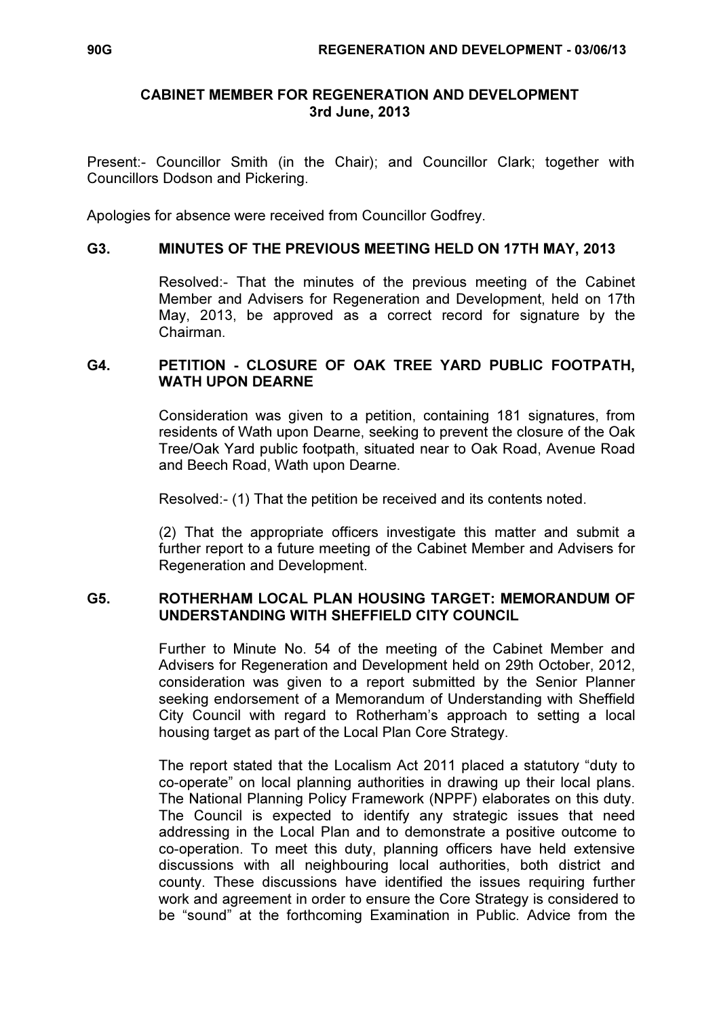### CABINET MEMBER FOR REGENERATION AND DEVELOPMENT 3rd June, 2013

Present:- Councillor Smith (in the Chair); and Councillor Clark; together with Councillors Dodson and Pickering.

Apologies for absence were received from Councillor Godfrey.

### G3. MINUTES OF THE PREVIOUS MEETING HELD ON 17TH MAY, 2013

 Resolved:- That the minutes of the previous meeting of the Cabinet Member and Advisers for Regeneration and Development, held on 17th May, 2013, be approved as a correct record for signature by the Chairman.

# G4. PETITION - CLOSURE OF OAK TREE YARD PUBLIC FOOTPATH, WATH UPON DEARNE

 Consideration was given to a petition, containing 181 signatures, from residents of Wath upon Dearne, seeking to prevent the closure of the Oak Tree/Oak Yard public footpath, situated near to Oak Road, Avenue Road and Beech Road, Wath upon Dearne.

Resolved:- (1) That the petition be received and its contents noted.

(2) That the appropriate officers investigate this matter and submit a further report to a future meeting of the Cabinet Member and Advisers for Regeneration and Development.

#### G5. ROTHERHAM LOCAL PLAN HOUSING TARGET: MEMORANDUM OF UNDERSTANDING WITH SHEFFIELD CITY COUNCIL

 Further to Minute No. 54 of the meeting of the Cabinet Member and Advisers for Regeneration and Development held on 29th October, 2012, consideration was given to a report submitted by the Senior Planner seeking endorsement of a Memorandum of Understanding with Sheffield City Council with regard to Rotherham's approach to setting a local housing target as part of the Local Plan Core Strategy.

The report stated that the Localism Act 2011 placed a statutory "duty to co-operate" on local planning authorities in drawing up their local plans. The National Planning Policy Framework (NPPF) elaborates on this duty. The Council is expected to identify any strategic issues that need addressing in the Local Plan and to demonstrate a positive outcome to co-operation. To meet this duty, planning officers have held extensive discussions with all neighbouring local authorities, both district and county. These discussions have identified the issues requiring further work and agreement in order to ensure the Core Strategy is considered to be "sound" at the forthcoming Examination in Public. Advice from the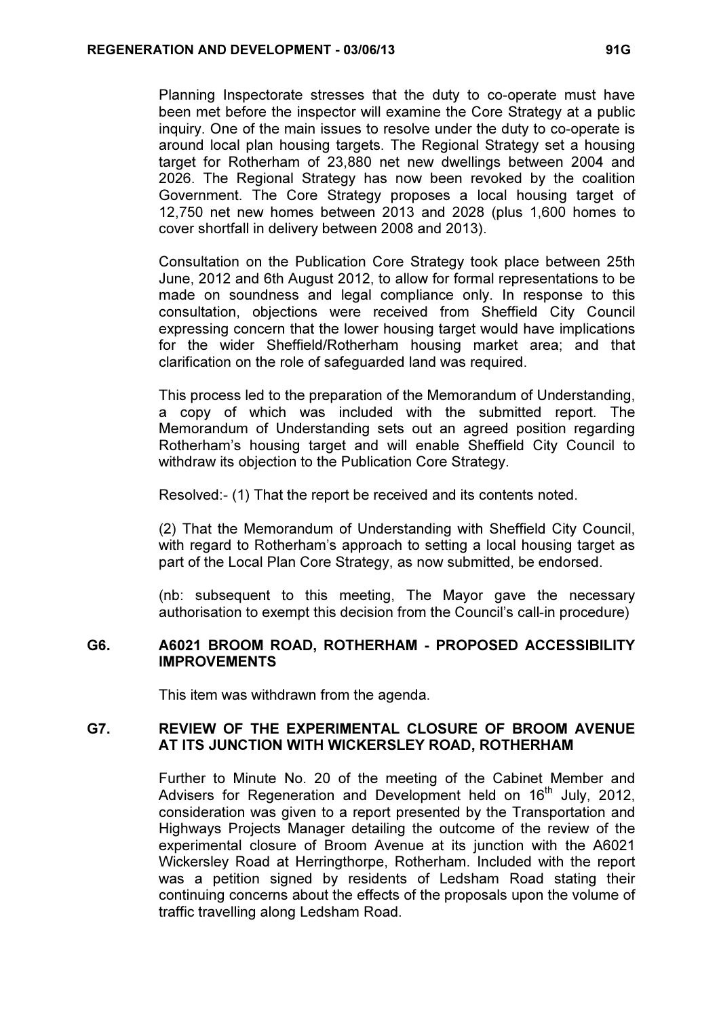Planning Inspectorate stresses that the duty to co-operate must have been met before the inspector will examine the Core Strategy at a public inquiry. One of the main issues to resolve under the duty to co-operate is around local plan housing targets. The Regional Strategy set a housing target for Rotherham of 23,880 net new dwellings between 2004 and 2026. The Regional Strategy has now been revoked by the coalition Government. The Core Strategy proposes a local housing target of 12,750 net new homes between 2013 and 2028 (plus 1,600 homes to cover shortfall in delivery between 2008 and 2013).

Consultation on the Publication Core Strategy took place between 25th June, 2012 and 6th August 2012, to allow for formal representations to be made on soundness and legal compliance only. In response to this consultation, objections were received from Sheffield City Council expressing concern that the lower housing target would have implications for the wider Sheffield/Rotherham housing market area; and that clarification on the role of safeguarded land was required.

This process led to the preparation of the Memorandum of Understanding, a copy of which was included with the submitted report. The Memorandum of Understanding sets out an agreed position regarding Rotherham's housing target and will enable Sheffield City Council to withdraw its objection to the Publication Core Strategy.

Resolved:- (1) That the report be received and its contents noted.

(2) That the Memorandum of Understanding with Sheffield City Council, with regard to Rotherham's approach to setting a local housing target as part of the Local Plan Core Strategy, as now submitted, be endorsed.

(nb: subsequent to this meeting, The Mayor gave the necessary authorisation to exempt this decision from the Council's call-in procedure)

### G6. A6021 BROOM ROAD, ROTHERHAM - PROPOSED ACCESSIBILITY IMPROVEMENTS

This item was withdrawn from the agenda.

### G7. REVIEW OF THE EXPERIMENTAL CLOSURE OF BROOM AVENUE AT ITS JUNCTION WITH WICKERSLEY ROAD, ROTHERHAM

 Further to Minute No. 20 of the meeting of the Cabinet Member and Advisers for Regeneration and Development held on  $16<sup>th</sup>$  July, 2012, consideration was given to a report presented by the Transportation and Highways Projects Manager detailing the outcome of the review of the experimental closure of Broom Avenue at its junction with the A6021 Wickersley Road at Herringthorpe, Rotherham. Included with the report was a petition signed by residents of Ledsham Road stating their continuing concerns about the effects of the proposals upon the volume of traffic travelling along Ledsham Road.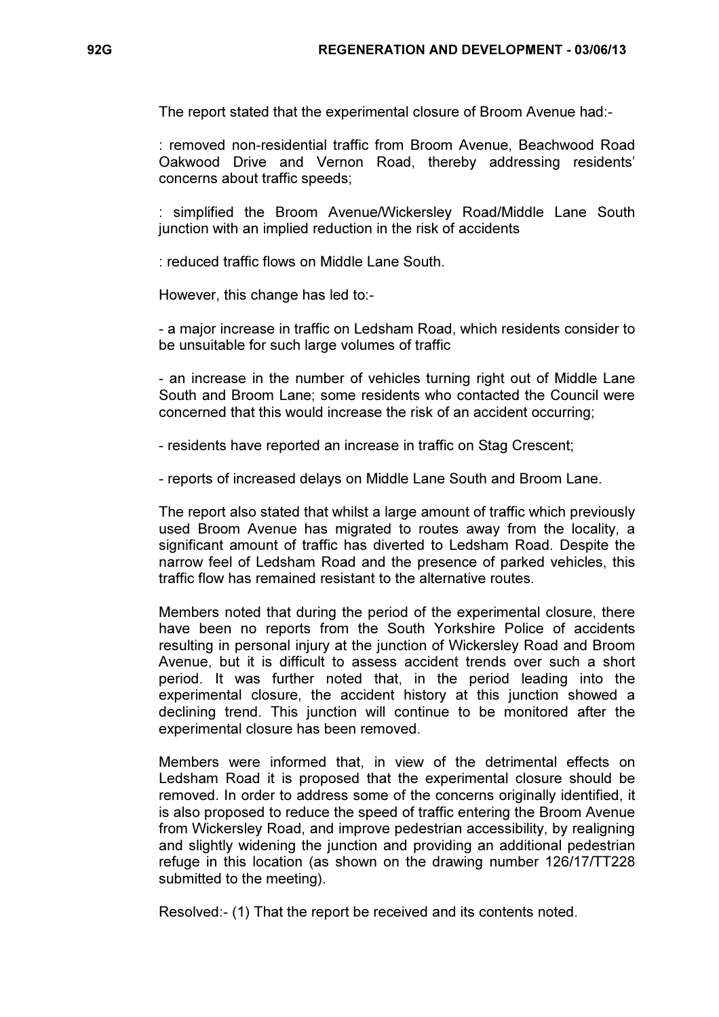The report stated that the experimental closure of Broom Avenue had:-

: removed non-residential traffic from Broom Avenue, Beachwood Road Oakwood Drive and Vernon Road, thereby addressing residents' concerns about traffic speeds;

: simplified the Broom Avenue/Wickersley Road/Middle Lane South junction with an implied reduction in the risk of accidents

: reduced traffic flows on Middle Lane South.

However, this change has led to:-

- a major increase in traffic on Ledsham Road, which residents consider to be unsuitable for such large volumes of traffic

- an increase in the number of vehicles turning right out of Middle Lane South and Broom Lane; some residents who contacted the Council were concerned that this would increase the risk of an accident occurring;

- residents have reported an increase in traffic on Stag Crescent;

- reports of increased delays on Middle Lane South and Broom Lane.

The report also stated that whilst a large amount of traffic which previously used Broom Avenue has migrated to routes away from the locality, a significant amount of traffic has diverted to Ledsham Road. Despite the narrow feel of Ledsham Road and the presence of parked vehicles, this traffic flow has remained resistant to the alternative routes.

Members noted that during the period of the experimental closure, there have been no reports from the South Yorkshire Police of accidents resulting in personal injury at the junction of Wickersley Road and Broom Avenue, but it is difficult to assess accident trends over such a short period. It was further noted that, in the period leading into the experimental closure, the accident history at this junction showed a declining trend. This junction will continue to be monitored after the experimental closure has been removed.

Members were informed that, in view of the detrimental effects on Ledsham Road it is proposed that the experimental closure should be removed. In order to address some of the concerns originally identified, it is also proposed to reduce the speed of traffic entering the Broom Avenue from Wickersley Road, and improve pedestrian accessibility, by realigning and slightly widening the junction and providing an additional pedestrian refuge in this location (as shown on the drawing number 126/17/TT228 submitted to the meeting).

Resolved:- (1) That the report be received and its contents noted.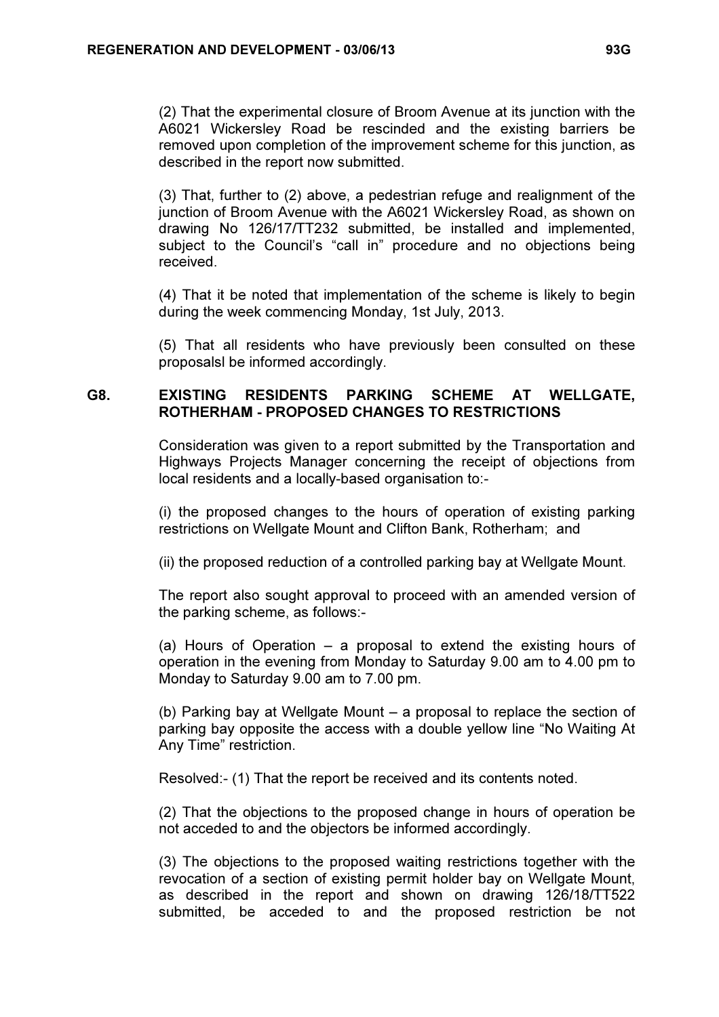(2) That the experimental closure of Broom Avenue at its junction with the A6021 Wickersley Road be rescinded and the existing barriers be removed upon completion of the improvement scheme for this junction, as described in the report now submitted.

(3) That, further to (2) above, a pedestrian refuge and realignment of the junction of Broom Avenue with the A6021 Wickersley Road, as shown on drawing No 126/17/TT232 submitted, be installed and implemented, subject to the Council's "call in" procedure and no objections being received.

(4) That it be noted that implementation of the scheme is likely to begin during the week commencing Monday, 1st July, 2013.

(5) That all residents who have previously been consulted on these proposalsl be informed accordingly.

# G8. EXISTING RESIDENTS PARKING SCHEME AT WELLGATE, ROTHERHAM - PROPOSED CHANGES TO RESTRICTIONS

 Consideration was given to a report submitted by the Transportation and Highways Projects Manager concerning the receipt of objections from local residents and a locally-based organisation to:-

(i) the proposed changes to the hours of operation of existing parking restrictions on Wellgate Mount and Clifton Bank, Rotherham; and

(ii) the proposed reduction of a controlled parking bay at Wellgate Mount.

The report also sought approval to proceed with an amended version of the parking scheme, as follows:-

(a) Hours of Operation – a proposal to extend the existing hours of operation in the evening from Monday to Saturday 9.00 am to 4.00 pm to Monday to Saturday 9.00 am to 7.00 pm.

(b) Parking bay at Wellgate Mount – a proposal to replace the section of parking bay opposite the access with a double yellow line "No Waiting At Any Time" restriction.

Resolved:- (1) That the report be received and its contents noted.

(2) That the objections to the proposed change in hours of operation be not acceded to and the objectors be informed accordingly.

(3) The objections to the proposed waiting restrictions together with the revocation of a section of existing permit holder bay on Wellgate Mount, as described in the report and shown on drawing 126/18/TT522 submitted, be acceded to and the proposed restriction be not